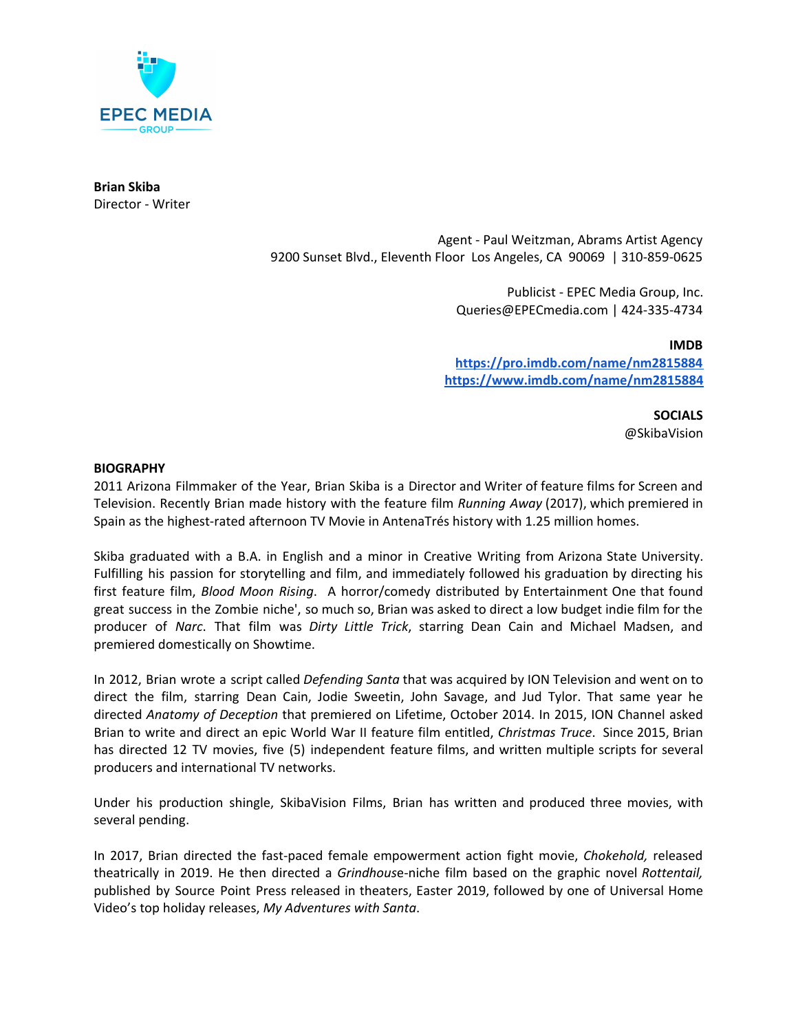

**Brian Skiba** Director - Writer

> Agent - Paul Weitzman, Abrams Artist Agency 9200 Sunset Blvd., Eleventh Floor Los Angeles, CA 90069 | 310-859-0625

> > Publicist - EPEC Media Group, Inc. Queries@EPECmedia.com | 424-335-4734

**IMDB <https://pro.imdb.com/name/nm2815884> <https://www.imdb.com/name/nm2815884>**

> **SOCIALS** @SkibaVision

## **BIOGRAPHY**

2011 Arizona Filmmaker of the Year, Brian Skiba is a Director and Writer of feature films for Screen and Television. Recently Brian made history with the feature film *Running Away* (2017), which premiered in Spain as the highest-rated afternoon TV Movie in AntenaTrés history with 1.25 million homes.

Skiba graduated with a B.A. in English and a minor in Creative Writing from Arizona State University. Fulfilling his passion for storytelling and film, and immediately followed his graduation by directing his first feature film, *Blood Moon Rising*. A horror/comedy distributed by Entertainment One that found great success in the Zombie niche', so much so, Brian was asked to direct a low budget indie film for the producer of *Narc*. That film was *Dirty Little Trick*, starring Dean Cain and Michael Madsen, and premiered domestically on Showtime.

In 2012, Brian wrote a script called *Defending Santa* that was acquired by ION Television and went on to direct the film, starring Dean Cain, Jodie Sweetin, John Savage, and Jud Tylor. That same year he directed *Anatomy of Deception* that premiered on Lifetime, October 2014. In 2015, ION Channel asked Brian to write and direct an epic World War II feature film entitled, *Christmas Truce*. Since 2015, Brian has directed 12 TV movies, five (5) independent feature films, and written multiple scripts for several producers and international TV networks.

Under his production shingle, SkibaVision Films, Brian has written and produced three movies, with several pending.

In 2017, Brian directed the fast-paced female empowerment action fight movie, *Chokehold,* released theatrically in 2019. He then directed a *Grindhous*e-niche film based on the graphic novel *Rottentail,* published by Source Point Press released in theaters, Easter 2019, followed by one of Universal Home Video's top holiday releases, *My Adventures with Santa*.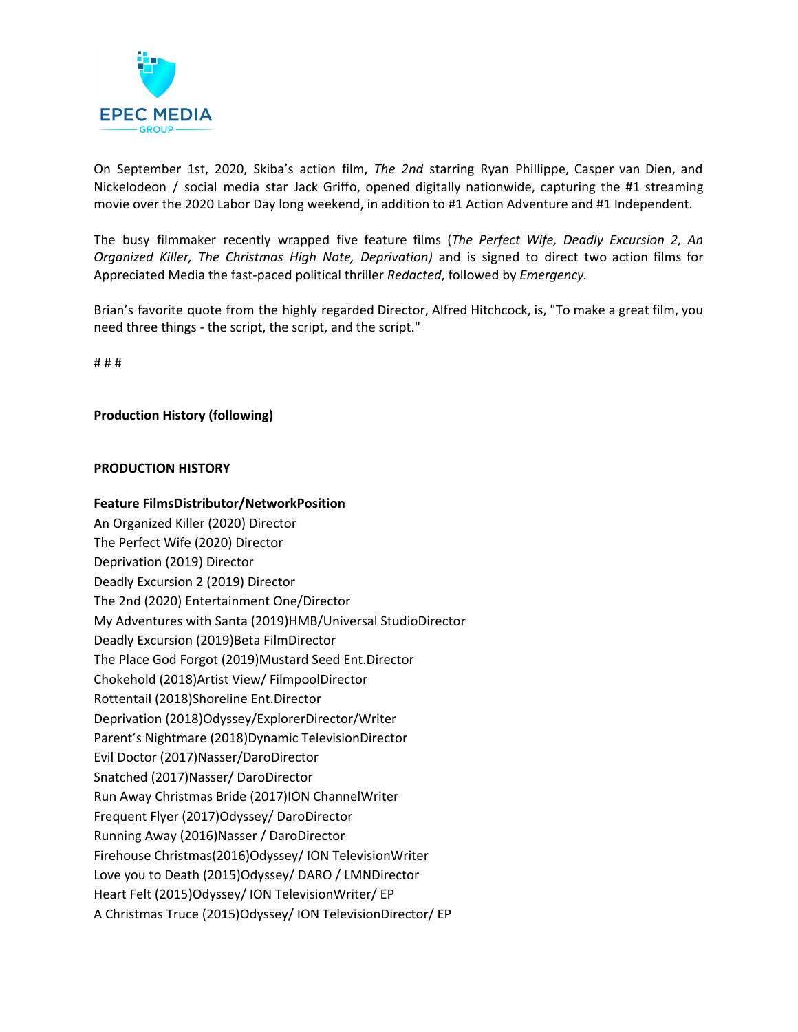

On September 1st, 2020, Skiba's action film, *The 2nd* starring Ryan Phillippe, Casper van Dien, and Nickelodeon / social media star Jack Griffo, opened digitally nationwide, capturing the #1 streaming movie over the 2020 Labor Day long weekend, in addition to #1 Action Adventure and #1 Independent.

The busy filmmaker recently wrapped five feature films (*The Perfect Wife, Deadly Excursion 2, An Organized Killer, The Christmas High Note, Deprivation)* and is signed to direct two action films for Appreciated Media the fast-paced political thriller *Redacted*, followed by *Emergency.*

Brian's favorite quote from the highly regarded Director, Alfred Hitchcock, is, "To make a great film, you need three things - the script, the script, and the script."

# # #

## **Production History (following)**

## **PRODUCTION HISTORY**

## **Feature FilmsDistributor/NetworkPosition**

An Organized Killer (2020) Director The Perfect Wife (2020) Director Deprivation (2019) Director Deadly Excursion 2 (2019) Director The 2nd (2020) Entertainment One/Director My Adventures with Santa (2019)HMB/Universal StudioDirector Deadly Excursion (2019)Beta FilmDirector The Place God Forgot (2019)Mustard Seed Ent.Director Chokehold (2018)Artist View/ FilmpoolDirector Rottentail (2018)Shoreline Ent.Director Deprivation (2018)Odyssey/ExplorerDirector/Writer Parent's Nightmare (2018)Dynamic TelevisionDirector Evil Doctor (2017)Nasser/DaroDirector Snatched (2017)Nasser/ DaroDirector Run Away Christmas Bride (2017)ION ChannelWriter Frequent Flyer (2017)Odyssey/ DaroDirector Running Away (2016)Nasser / DaroDirector Firehouse Christmas(2016)Odyssey/ ION TelevisionWriter Love you to Death (2015)Odyssey/ DARO / LMNDirector Heart Felt (2015)Odyssey/ ION TelevisionWriter/ EP A Christmas Truce (2015)Odyssey/ ION TelevisionDirector/ EP